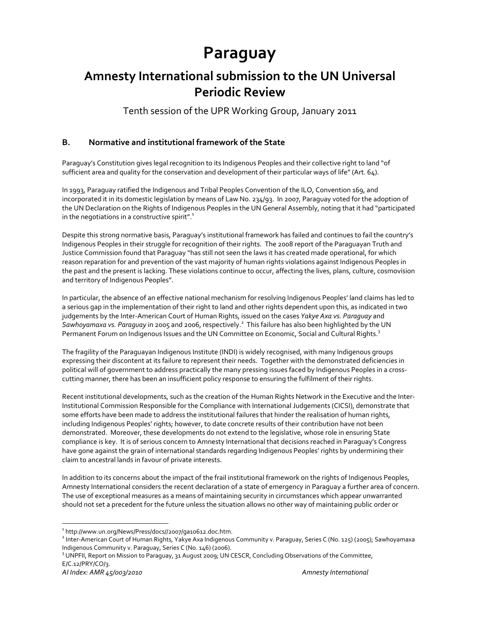# **Paraguay**

# **Amnesty International submission to the UN Universal Periodic Review**

Tenth session of the UPR Working Group, January 2011

# **B. Normative and institutional framework of the State**

Paraguay's Constitution gives legal recognition to its Indigenous Peoples and their collective right to land "of sufficient area and quality for the conservation and development of their particular ways of life"(Art. 64).

In 1993, Paraguay ratified the Indigenous and Tribal Peoples Convention of the ILO, Convention 169, and incorporated it in its domestic legislation by means of Law No. 234/93. In 2007, Paraguay voted for the adoption of the UN Declaration on the Rights of Indigenous Peoples in the UN General Assembly, noting that it had "participated in the negotiations in a constructive spirit". $1$ 

Despite this strong normative basis, Paraguay's institutional framework has failed and continues to fail the country's Indigenous Peoples in their struggle for recognition of their rights. The 2008 report of the Paraguayan Truth and Justice Commission found that Paraguay "has still not seen the laws it has created made operational, for which reason reparation for and prevention of the vast majority of human rights violations against Indigenous Peoples in the past and the present is lacking. These violations continue to occur, affecting the lives, plans, culture, cosmovision and territory of Indigenous Peoples".

In particular, the absence of an effective national mechanism for resolving Indigenous Peoples' land claims has led to a serious gap in the implementation of their right to land and other rights dependent upon this, as indicated in two judgements by the Inter‐American Court of Human Rights, issued on the cases *Yakye Axa vs. Paraguay* and *Sawhoyamaxa vs. Paraguay* in 2005 and 2006, respectively.<sup>2</sup> This failure has also been highlighted by the UN Permanent Forum on Indigenous Issues and the UN Committee on Economic, Social and Cultural Rights.<sup>3</sup>

The fragility of the Paraguayan Indigenous Institute (INDI) is widely recognised, with many Indigenous groups expressing their discontent at its failure to represent their needs. Together with the demonstrated deficiencies in political will of government to address practically the many pressing issues faced by Indigenous Peoples in a crosscutting manner, there has been an insufficient policy response to ensuring the fulfilment of their rights.

Recent institutional developments, such as the creation of the Human Rights Network in the Executive and the Inter‐ Institutional Commission Responsible for the Compliance with International Judgements (CICSI), demonstrate that some efforts have been made to address the institutional failures that hinder the realisation of human rights, including Indigenous Peoples' rights; however, to date concrete results of their contribution have not been demonstrated. Moreover, these developments do not extend to the legislative, whose role in ensuring State compliance is key. It is of serious concern to Amnesty International that decisions reached in Paraguay's Congress have gone against the grain of international standards regarding Indigenous Peoples' rights by undermining their claim to ancestral lands in favour of private interests.

In addition to its concerns about the impact of the frail institutional framework on the rights of Indigenous Peoples, Amnesty International considers the recent declaration of a state of emergency in Paraguay a further area of concern. The use of exceptional measures as a means of maintaining security in circumstances which appear unwarranted should not set a precedent for the future unless the situation allows no other way of maintaining public order or

<sup>1</sup> http://www.un.org/News/Press/docs//2007/ga10612.doc.htm.

<sup>&</sup>lt;sup>2</sup> Inter-American Court of Human Rights, Yakye Axa Indigenous Community v. Paraguay, Series C (No. 125) (2005); Sawhoyamaxa

Indigenous Community v. Paraguay, Series C (No. 146) (2006).<br><sup>3</sup> UNPFII, Report on Mission to Paraguay, 31 August 2009; UN CESCR, Concluding Observations of the Committee, E/C.12/PRY/CO/3.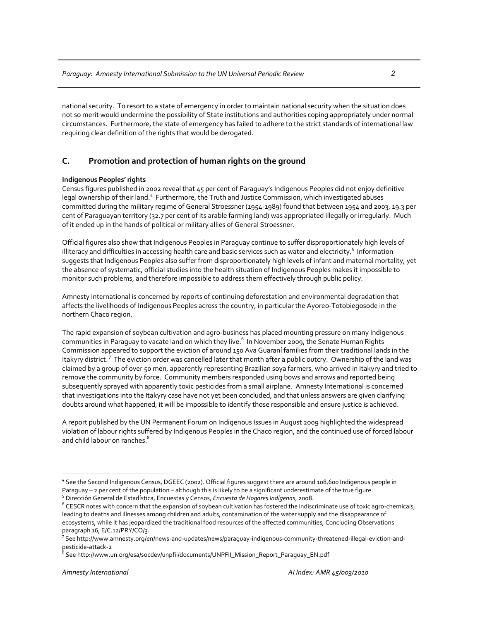national security. To resort to a state of emergency in order to maintain national security when the situation does not so merit would undermine the possibility of State institutions and authorities coping appropriately under normal circumstances. Furthermore, the state of emergency has failed to adhere to the strict standards of international law requiring clear definition of the rights that would be derogated.

# **C. Promotion and protection of human rights on the ground**

# **Indigenous Peoples' rights**

Census figures published in 2002 reveal that 45 per cent of Paraguay's Indigenous Peoples did not enjoy definitive legal ownership of their land.<sup>4</sup> Furthermore, the Truth and Justice Commission, which investigated abuses committed during the military regime of General Stroessner (1954‐1989) found that between 1954 and 2003, 19.3 per cent of Paraguayan territory (32.7 per cent of its arable farming land) was appropriated illegally or irregularly. Much of it ended up in the hands of political or military allies of General Stroessner.

Official figures also show that Indigenous Peoples in Paraguay continue to suffer disproportionately high levels of illiteracy and difficulties in accessing health care and basic services such as water and electricity.<sup>5</sup> Information suggests that Indigenous Peoples also suffer from disproportionately high levels of infant and maternal mortality, yet the absence of systematic, official studies into the health situation of Indigenous Peoples makes it impossible to monitor such problems, and therefore impossible to address them effectively through public policy.

Amnesty International is concerned by reports of continuing deforestation and environmental degradation that affects the livelihoods of Indigenous Peoples across the country, in particular the Ayoreo‐Totobiegosode in the northern Chaco region.

The rapid expansion of soybean cultivation and agro‐business has placed mounting pressure on many Indigenous communities in Paraguay to vacate land on which they live. <sup>6</sup> In November 2009, the Senate Human Rights Commission appeared to support the eviction of around 150 Ava Guaraní families from their traditional lands in the Itakyry district. <sup>7</sup> The eviction order was cancelled later that month after a public outcry. Ownership of the land was claimed by a group of over 50 men, apparently representing Brazilian soya farmers, who arrived in Itakyry and tried to remove the community by force. Community members responded using bows and arrows and reported being subsequently sprayed with apparently toxic pesticides from a small airplane. Amnesty International is concerned that investigations into the Itakyry case have not yet been concluded, and that unless answers are given clarifying doubts around what happened, it will be impossible to identify those responsible and ensure justice is achieved.

A report published by the UN Permanent Forum on Indigenous Issues in August 2009 highlighted the widespread violation of labour rights suffered by Indigenous Peoples in the Chaco region, and the continued use of forced labour and child labour on ranches.<sup>8</sup>

<sup>4</sup> See the Second Indigenous Census, DGEEC (2002). Official figures suggest there are around 108,600 Indigenous people in

<sup>&</sup>lt;sup>5</sup> Dirección General de Estadística, Encuestas y Censos, *Encuesta de Hogares Indígenas*, 2008.<br><sup>6</sup> CESCR notes with concern that the expansion of soybean cultivation has fostered the indiscriminate use of toxic agro-chem leading to deaths and illnesses among children and adults, contamination of the water supply and the disappearance of ecosystems, while it has jeopardized the traditional food resources of the affected communities, Concluding Observations paragraph 16, E/C.12/PRY/CO/3. <sup>7</sup>

<sup>&</sup>lt;sup>7</sup> See http://www.amnesty.org/en/news-and-updates/news/paraguay-indigenous-community-threatened-illegal-eviction-and-<br>pesticide-attack-2

See http://www.un.org/esa/socdev/unpfii/documents/UNPFII\_Mission\_Report\_Paraguay\_EN.pdf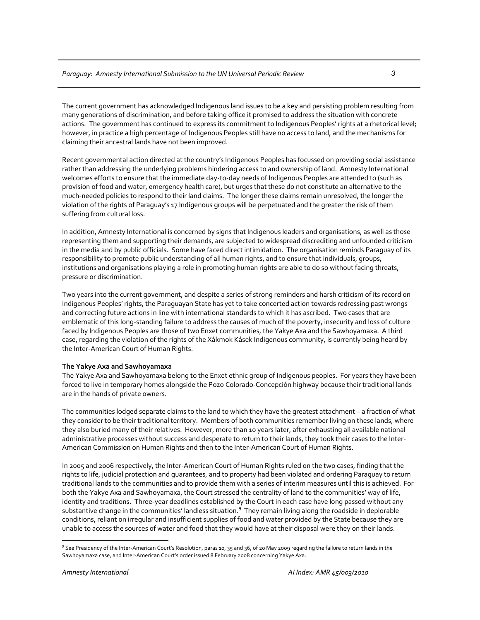The current government has acknowledged Indigenous land issues to be a key and persisting problem resulting from many generations of discrimination, and before taking office it promised to address the situation with concrete actions. The government has continued to express its commitment to Indigenous Peoples' rights at a rhetorical level; however, in practice a high percentage of Indigenous Peoples still have no access to land, and the mechanisms for claiming their ancestral lands have not been improved.

Recent governmental action directed at the country's Indigenous Peoples has focussed on providing social assistance rather than addressing the underlying problems hindering access to and ownership of land. Amnesty International welcomes efforts to ensure that the immediate day‐to‐day needs of Indigenous Peoples are attended to (such as provision of food and water, emergency health care), but urges that these do not constitute an alternative to the much‐needed policies to respond to their land claims. The longer these claims remain unresolved, the longer the violation of the rights of Paraguay's 17 Indigenous groups will be perpetuated and the greater the risk of them suffering from cultural loss.

In addition, Amnesty International is concerned by signs that Indigenous leaders and organisations, as well as those representing them and supporting their demands, are subjected to widespread discrediting and unfounded criticism in the media and by public officials. Some have faced direct intimidation. The organisation reminds Paraguay of its responsibility to promote public understanding of all human rights, and to ensure that individuals, groups, institutions and organisations playing a role in promoting human rights are able to do so without facing threats, pressure or discrimination.

Two years into the current government, and despite a series of strong reminders and harsh criticism of its record on Indigenous Peoples' rights, the Paraguayan State has yet to take concerted action towards redressing past wrongs and correcting future actions in line with international standards to which it has ascribed. Two cases that are emblematic of this long-standing failure to address the causes of much of the poverty, insecurity and loss of culture faced by Indigenous Peoples are those of two Enxet communities, the Yakye Axa and the Sawhoyamaxa. A third case, regarding the violation of the rights of the Xákmok Kásek Indigenous community, is currently being heard by the Inter‐American Court of Human Rights.

### **The Yakye Axa and Sawhoyamaxa**

The Yakye Axa and Sawhoyamaxa belong to the Enxet ethnic group of Indigenous peoples. For years they have been forced to live in temporary homes alongside the Pozo Colorado‐Concepción highway because their traditional lands are in the hands of private owners.

The communities lodged separate claims to the land to which they have the greatest attachment – a fraction of what they consider to be their traditional territory. Members of both communities remember living on these lands, where they also buried many of their relatives. However, more than 10 years later, after exhausting all available national administrative processes without success and desperate to return to their lands, they took their cases to the Inter-American Commission on Human Rights and then to the Inter‐American Court of Human Rights.

In 2005 and 2006 respectively, the Inter‐American Court of Human Rights ruled on the two cases, finding that the rights to life, judicial protection and guarantees, and to property had been violated and ordering Paraguay to return traditional lands to the communities and to provide them with a series of interim measures until this is achieved. For both the Yakye Axa and Sawhoyamaxa, the Court stressed the centrality of land to the communities' way of life, identity and traditions. Three‐year deadlines established by the Court in each case have long passed without any substantive change in the communities' landless situation.<sup>9</sup> They remain living along the roadside in deplorable conditions, reliant on irregular and insufficient supplies of food and water provided by the State because they are unable to access the sources of water and food that they would have at their disposal were they on their lands.

<sup>9</sup> See Presidency of the Inter-American Court's Resolution, paras 10, 35 and 36, of 20 May 2009 regarding the failure to return lands in the Sawhoyamaxa case, and Inter‐American Court's order issued 8 February 2008 concerning Yakye Axa.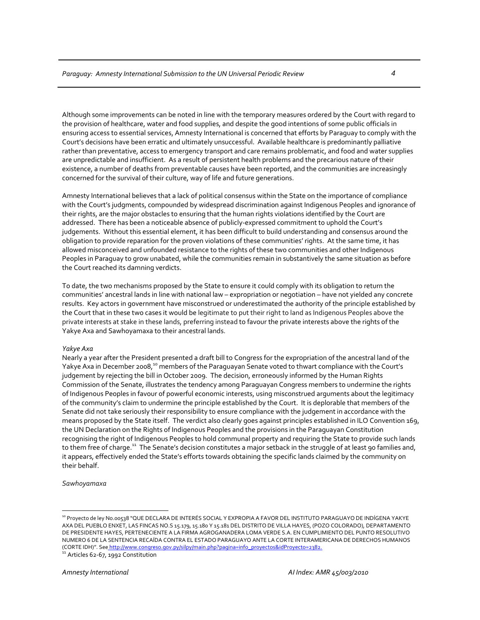Although some improvements can be noted in line with the temporary measures ordered by the Court with regard to the provision of healthcare, water and food supplies, and despite the good intentions of some public officials in ensuring access to essential services, Amnesty International is concerned that efforts by Paraguay to comply with the Court's decisions have been erratic and ultimately unsuccessful. Available healthcare is predominantly palliative rather than preventative, access to emergency transport and care remains problematic, and food and water supplies are unpredictable and insufficient. As a result of persistent health problems and the precarious nature of their existence, a number of deaths from preventable causes have been reported, and the communities are increasingly concerned for the survival of their culture, way of life and future generations.

Amnesty International believes that a lack of political consensus within the State on the importance of compliance with the Court's judgments, compounded by widespread discrimination against Indigenous Peoples and ignorance of their rights, are the major obstacles to ensuring that the human rights violations identified by the Court are addressed. There has been a noticeable absence of publicly-expressed commitment to uphold the Court's judgements. Without this essential element, it has been difficult to build understanding and consensus around the obligation to provide reparation for the proven violations of these communities' rights. At the same time, it has allowed misconceived and unfounded resistance to the rights of these two communities and other Indigenous Peoples in Paraguay to grow unabated, while the communities remain in substantively the same situation as before the Court reached its damning verdicts.

To date, the two mechanisms proposed by the State to ensure it could comply with its obligation to return the communities' ancestral lands in line with national law – expropriation or negotiation – have not yielded any concrete results. Key actors in government have misconstrued or underestimated the authority of the principle established by the Court that in these two cases it would be legitimate to put their right to land as Indigenous Peoples above the private interests at stake in these lands, preferring instead to favour the private interests above the rights of the Yakye Axa and Sawhoyamaxa to their ancestral lands.

#### *Yakye Axa*

Nearly a year after the President presented a draft bill to Congress for the expropriation of the ancestral land of the Yakye Axa in December 2008,<sup>10</sup> members of the Paraguayan Senate voted to thwart compliance with the Court's judgement by rejecting the bill in October 2009. The decision, erroneously informed by the Human Rights Commission of the Senate, illustrates the tendency among Paraguayan Congress members to undermine the rights of Indigenous Peoples in favour of powerful economic interests, using misconstrued arguments about the legitimacy of the community's claim to undermine the principle established by the Court. It is deplorable that members of the Senate did not take seriously their responsibility to ensure compliance with the judgement in accordance with the means proposed by the State itself. The verdict also clearly goes against principles established in ILO Convention 169, the UN Declaration on the Rights of Indigenous Peoples and the provisions in the Paraguayan Constitution recognising the right of Indigenous Peoples to hold communal property and requiring the State to provide such lands to them free of charge.<sup>11</sup> The Senate's decision constitutes a major setback in the struggle of at least 90 families and, it appears, effectively ended the State's efforts towards obtaining the specific lands claimed by the community on their behalf.

*Sawhoyamaxa*

<sup>10</sup> Proyecto de ley No.00538 "QUE DECLARA DE INTERÉS SOCIAL Y EXPROPIA A FAVOR DEL INSTITUTO PARAGUAYO DE INDÍGENA YAKYE AXA DEL PUEBLO ENXET, LAS FINCAS NO.S 15.179, 15.180 Y 15.181 DEL DISTRITO DE VILLA HAYES, (POZO COLORADO), DEPARTAMENTO DE PRESIDENTE HAYES, PERTENECIENTE A LA FIRMA AGROGANADERA LOMA VERDE S.A. EN CUMPLIMIENTO DEL PUNTO RESOLUTIVO NUMERO 6 DE LA SENTENCIA RECAÍDA CONTRA EL ESTADO PARAGUAYO ANTE LA CORTE INTERAMERICANA DE DERECHOS HUMANOS (CORTE IDH)". See <u>http://www.congreso.gov.py/silpy/main.php?pagina=info\_proyectos&idProyecto=2382.</u><br><sup>11</sup> Articles 62‐67, 1992 Constitution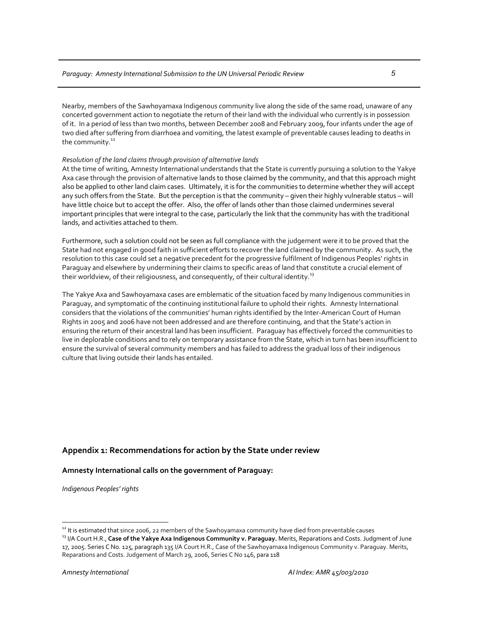Nearby, members of the Sawhoyamaxa Indigenous community live along the side of the same road, unaware of any concerted government action to negotiate the return of their land with the individual who currently is in possession of it. In a period of less than two months, between December 2008 and February 2009, four infants under the age of two died after suffering from diarrhoea and vomiting, the latest example of preventable causes leading to deaths in the community.<sup>12</sup>

# *Resolution of the land claimsthrough provision of alternative lands*

At the time of writing, Amnesty International understands that the State is currently pursuing a solution to the Yakye Axa case through the provision of alternative lands to those claimed by the community, and that this approach might also be applied to other land claim cases. Ultimately, it is for the communities to determine whether they will accept any such offers from the State. But the perception is that the community – given their highly vulnerable status – will have little choice but to accept the offer. Also, the offer of lands other than those claimed undermines several important principles that were integral to the case, particularly the link that the community has with the traditional lands, and activities attached to them.

Furthermore, such a solution could not be seen as full compliance with the judgement were it to be proved that the State had not engaged in good faith in sufficient efforts to recover the land claimed by the community. As such, the resolution to this case could set a negative precedent for the progressive fulfilment of Indigenous Peoples' rights in Paraguay and elsewhere by undermining their claims to specific areas of land that constitute a crucial element of their worldview, of their religiousness, and consequently, of their cultural identity.<sup>13</sup>

The Yakye Axa and Sawhoyamaxa cases are emblematic of the situation faced by many Indigenous communities in Paraguay, and symptomatic of the continuing institutional failure to uphold their rights. Amnesty International considers that the violations of the communities' human rights identified by the Inter‐American Court of Human Rights in 2005 and 2006 have not been addressed and are therefore continuing, and that the State's action in ensuring the return of their ancestral land has been insufficient. Paraguay has effectively forced the communities to live in deplorable conditions and to rely on temporary assistance from the State, which in turn has been insufficient to ensure the survival of several community members and has failed to address the gradual loss of their indigenous culture that living outside their lands has entailed.

# **Appendix 1: Recommendations for action by the State under review**

# **Amnesty International calls on the government of Paraguay:**

*Indigenous Peoples' rights*

<sup>&</sup>lt;sup>12</sup> It is estimated that since 2006, 22 members of the Sawhoyamaxa community have died from preventable causes<br><sup>13</sup> I/A Court H.R.**, Case of the Yakye Axa Indigenous Community v. Paraguay.** Merits, Reparations and Costs.

<sup>17,</sup> 2005. Series C No. 125, paragraph 135 I/A Court H.R., Case of the Sawhoyamaxa Indigenous Community v. Paraguay. Merits, Reparations and Costs. Judgement of March 29, 2006, Series C No 146, para 118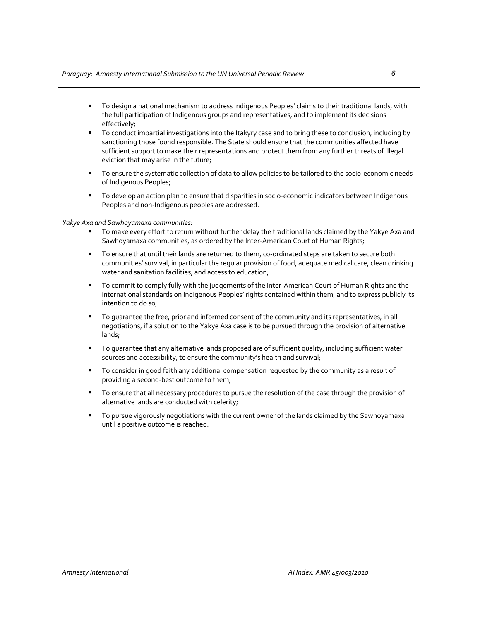# *Paraguay: Amnesty International Submission to the UN Universal Periodic Review 6*

- To design a national mechanism to address Indigenous Peoples' claims to their traditional lands, with the full participation of Indigenous groups and representatives, and to implement its decisions effectively;
- To conduct impartial investigations into the Itakyry case and to bring these to conclusion, including by sanctioning those found responsible. The State should ensure that the communities affected have sufficient support to make their representations and protect them from any further threats of illegal eviction that may arise in the future;
- To ensure the systematic collection of data to allow policies to be tailored to the socio‐economic needs of Indigenous Peoples;
- To develop an action plan to ensure that disparities in socio‐economic indicators between Indigenous Peoples and non-Indigenous peoples are addressed.

### *Yakye Axa and Sawhoyamaxa communities:*

- To make every effort to return without further delay the traditional lands claimed by the Yakye Axa and Sawhoyamaxa communities, as ordered by the Inter-American Court of Human Rights;
- To ensure that until their lands are returned to them, co-ordinated steps are taken to secure both communities' survival, in particular the regular provision of food, adequate medical care, clean drinking water and sanitation facilities, and access to education;
- To commit to comply fully with the judgements of the Inter‐American Court of Human Rights and the international standards on Indigenous Peoples' rights contained within them, and to express publicly its intention to do so;
- To guarantee the free, prior and informed consent of the community and its representatives, in all negotiations, if a solution to the Yakye Axa case is to be pursued through the provision of alternative lands;
- To guarantee that any alternative lands proposed are of sufficient quality, including sufficient water sources and accessibility, to ensure the community's health and survival;
- To consider in good faith any additional compensation requested by the community as a result of providing a second‐best outcome to them;
- To ensure that all necessary procedures to pursue the resolution of the case through the provision of alternative lands are conducted with celerity;
- To pursue vigorously negotiations with the current owner of the lands claimed by the Sawhoyamaxa until a positive outcome is reached.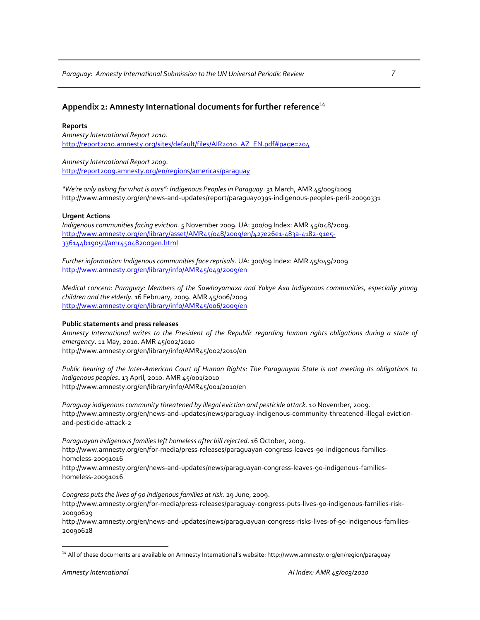# **Appendix 2: Amnesty International documents for further reference**<sup>14</sup>

### **Reports**

*Amnesty International Report 2010*. http://report2010.amnesty.org/sites/default/files/AIR2010\_AZ\_EN.pdf#page=204

*Amnesty International Report 2009*. http://report2009.amnesty.org/en/regions/americas/paraguay

*"We're only asking for what is ours": Indigenous Peoples in Paraguay*. 31 March, AMR 45/005/2009 http://www.amnesty.org/en/news‐and‐updates/report/paraguay039s‐indigenous‐peoples‐peril‐20090331

### **Urgent Actions**

*Indigenous communities facing eviction.* 5 November 2009. UA: 300/09 Index: AMR 45/048/2009. http://www.amnesty.org/en/library/asset/AMR45/048/2009/en/427e26e1-483a-4182-91e5-336144b1905d/amr450482009en.html

*Further information: Indigenous communitiesface reprisals.* UA: 300/09 Index: AMR 45/049/2009 http://www.amnesty.org/en/library/info/AMR45/049/2009/en

*Medical concern: Paraguay: Members of the Sawhoyamaxa and Yakye Axa Indigenous communities, especially young children and the elderly.* 16 February, 2009. AMR 45/006/2009 http://www.amnesty.org/en/library/info/AMR45/006/2009/en

### **Public statements and press releases**

Amnesty International writes to the President of the Republic regarding human rights obligations during a state of *emergency.* 11 May, 2010. AMR 45/002/2010 http://www.amnesty.org/en/library/info/AMR45/002/2010/en

Public hearing of the Inter-American Court of Human Rights: The Paraguayan State is not meeting its obligations to *indigenous peoples.* 13 April, 2010. AMR 45/001/2010 http://www.amnesty.org/en/library/info/AMR45/001/2010/en

*Paraguay indigenous community threatened by illegal eviction and pesticide attack.* 10 November, 2009. http://www.amnesty.org/en/news‐and‐updates/news/paraguay‐indigenous‐community‐threatened‐illegal‐eviction‐ and‐pesticide‐attack‐2

*Paraguayan indigenousfamilies left homeless after bill rejected*. 16 October, 2009. http://www.amnesty.org/en/for‐media/press‐releases/paraguayan‐congress‐leaves‐90‐indigenous‐families‐ homeless‐20091016 http://www.amnesty.org/en/news‐and‐updates/news/paraguayan‐congress‐leaves‐90‐indigenous‐families‐ homeless‐20091016

*Congress puts the lives of 90 indigenous families at risk.* 29 June, 2009.

http://www.amnesty.org/en/for‐media/press‐releases/paraguay‐congress‐puts‐lives‐90‐indigenous‐families‐risk‐ 20090629

http://www.amnesty.org/en/news‐and‐updates/news/paraguayuan‐congress‐risks‐lives‐of‐90‐indigenous‐families‐ 20090628

<sup>&</sup>lt;sup>14</sup> All of these documents are available on Amnesty International's website: http://www.amnesty.org/en/region/paraguay